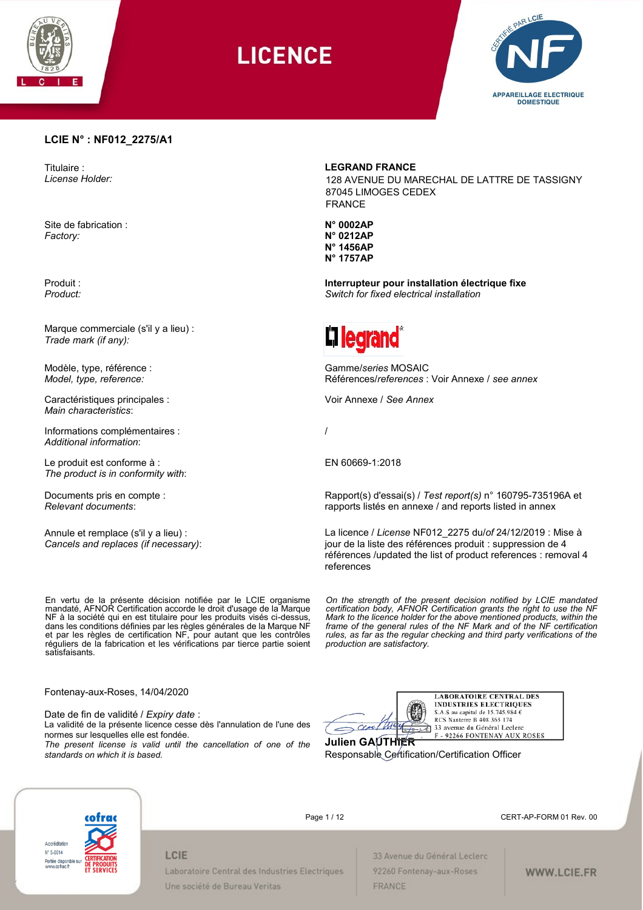

LICENCE



#### **LCIE N° : NF012\_2275/A1**

Titulaire : *License Holder:*

Site de fabrication : *Factory:*

Produit : *Product:*

Marque commerciale (s'il y a lieu) : *Trade mark (if any):*

Modèle, type, référence : *Model, type, reference:*

Caractéristiques principales : *Main characteristics*:

Informations complémentaires : *Additional information*:

Le produit est conforme à : *The product is in conformity with*:

Documents pris en compte : *Relevant documents*:

Annule et remplace (s'il y a lieu) : *Cancels and replaces (if necessary)*:

En vertu de la présente décision notifiée par le LCIE organisme mandaté, AFNOR Certification accorde le droit d'usage de la Marque NF à la société qui en est titulaire pour les produits visés ci-dessus, dans les conditions définies par les règles générales de la Marque NF et par les règles de certification NF, pour autant que les contrôles réguliers de la fabrication et les vérifications par tierce partie soient satisfaisants.

87045 LIMOGES CEDEX FRANCE

**LEGRAND FRANCE**

**N° 0002AP N° 0212AP N° 1456AP N° 1757AP**

**Interrupteur pour installation électrique fixe**  *Switch for fixed electrical installation*

128 AVENUE DU MARECHAL DE LATTRE DE TASSIGNY



Gamme/*series* MOSAIC Références/*references* : Voir Annexe / *see annex*

Voir Annexe / *See Annex*

/

EN 60669-1:2018

Rapport(s) d'essai(s) / *Test report(s)* n° 160795-735196A et rapports listés en annexe / and reports listed in annex

La licence / *License* NF012\_2275 du/*of* 24/12/2019 : Mise à jour de la liste des références produit : suppression de 4 références /updated the list of product references : removal 4 references

*On the strength of the present decision notified by LCIE mandated certification body, AFNOR Certification grants the right to use the NF Mark to the licence holder for the above mentioned products, within the frame of the general rules of the NF Mark and of the NF certification rules, as far as the regular checking and third party verifications of the production are satisfactory.* 

Fontenay-aux-Roses, 14/04/2020

Date de fin de validité / *Expiry date* :

La validité de la présente licence cesse dès l'annulation de l'une des normes sur lesquelles elle est fondée.

*The present license is valid until the cancellation of one of the standards on which it is based.*



Responsable Certification/Certification Officer



Page 1 / 12 **CERT-AP-FORM 01 Rev. 00** 

## LCIE Laboratoire Central des Industries Electriques Une société de Bureau Veritas

33 Avenue du Général Leclerc 92260 Fontenay-aux-Roses FRANCE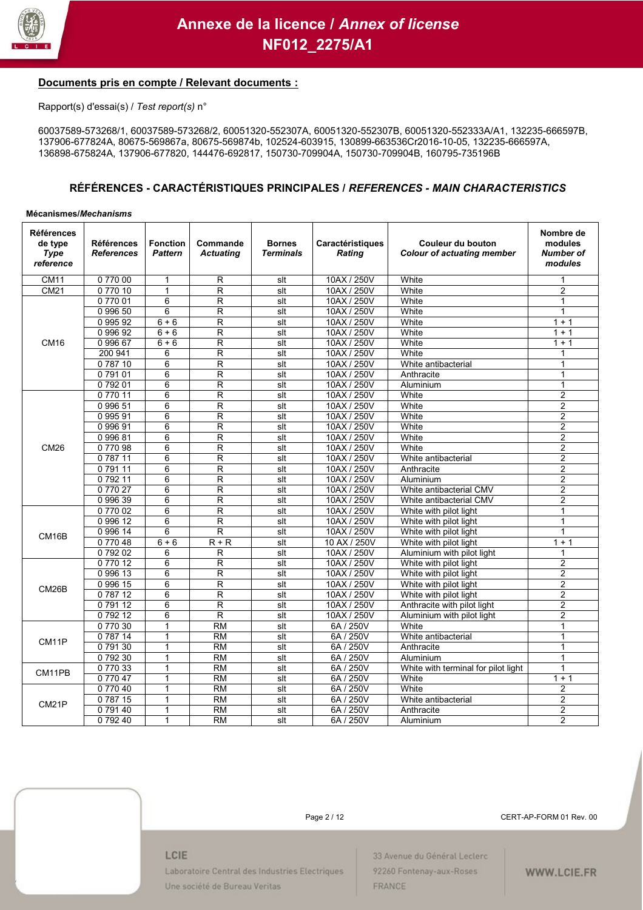

### **Documents pris en compte / Relevant documents :**

Rapport(s) d'essai(s) / *Test report(s)* n°

60037589-573268/1, 60037589-573268/2, 60051320-552307A, 60051320-552307B, 60051320-552333A/A1, 132235-666597B, 137906-677824A, 80675-569867a, 80675-569874b, 102524-603915, 130899-663536Cr2016-10-05, 132235-666597A, 136898-675824A, 137906-677820, 144476-692817, 150730-709904A, 150730-709904B, 160795-735196B

### **RÉFÉRENCES - CARACTÉRISTIQUES PRINCIPALES /** *REFERENCES - MAIN CHARACTERISTICS*

#### **Mécanismes/***Mechanisms*

| <b>Références</b><br>de type<br><b>Type</b><br>reference | Références<br><b>References</b> | <b>Fonction</b><br><b>Pattern</b> | Commande<br><b>Actuating</b> | <b>Bornes</b><br><b>Terminals</b> | Caractéristiques<br><b>Rating</b> | Couleur du bouton<br><b>Colour of actuating member</b> | Nombre de<br>modules<br><b>Number of</b><br>modules |
|----------------------------------------------------------|---------------------------------|-----------------------------------|------------------------------|-----------------------------------|-----------------------------------|--------------------------------------------------------|-----------------------------------------------------|
| <b>CM11</b>                                              | 077000                          | $\mathbf{1}$                      | R                            | $s$ It                            | 10AX / 250V                       | White                                                  | 1                                                   |
| <b>CM21</b>                                              | 077010                          | $\mathbf{1}$                      | R                            | slt                               | 10AX / 250V                       | White                                                  | $\overline{2}$                                      |
|                                                          | 077001                          | 6                                 | R                            | slt                               | 10AX / 250V                       | White                                                  | $\mathbf{1}$                                        |
|                                                          | 0 996 50                        | 6                                 | R                            | slt                               | 10AX / 250V                       | White                                                  | $\mathbf{1}$                                        |
|                                                          | 0 995 92                        | $6 + 6$                           | R                            | slt                               | 10AX / 250V                       | White                                                  | $1 + 1$                                             |
|                                                          | 0 996 92                        | $6 + 6$                           | R                            | $s$ It                            | 10AX / 250V                       | White                                                  | $1 + 1$                                             |
| <b>CM16</b>                                              | 099667                          | $6 + 6$                           | R                            | slt                               | 10AX / 250V                       | White                                                  | $1 + 1$                                             |
|                                                          | 200 941                         | 6                                 | R                            | slt                               | 10AX / 250V                       | White                                                  | 1                                                   |
|                                                          | 078710                          | 6                                 | R                            | $s$ It                            | 10AX / 250V                       | White antibacterial                                    | 1                                                   |
|                                                          | 079101                          | 6                                 | R                            | slt                               | 10AX / 250V                       | Anthracite                                             | $\mathbf{1}$                                        |
|                                                          | 079201                          | 6                                 | R                            | slt                               | 10AX / 250V                       | Aluminium                                              | $\mathbf{1}$                                        |
|                                                          | 077011                          | 6                                 | R                            | $s$ It                            | 10AX / 250V                       | White                                                  | $\overline{2}$                                      |
|                                                          | 0 996 51                        | 6                                 | R                            | slt                               | 10AX / 250V                       | White                                                  | $\overline{2}$                                      |
|                                                          | 099591                          | 6                                 | R                            | slt                               | 10AX / 250V                       | White                                                  | $\overline{2}$                                      |
|                                                          | 099691                          | 6                                 | R                            | slt                               | 10AX / 250V                       | White                                                  | $\overline{2}$                                      |
|                                                          | 099681                          | 6                                 | R                            | slt                               | 10AX / 250V                       | White                                                  | $\overline{2}$                                      |
| CM26                                                     | 077098                          | 6                                 | R                            | slt                               | 10AX / 250V                       | White                                                  | 2                                                   |
|                                                          | 078711                          | 6                                 | R                            | slt                               | 10AX / 250V                       | White antibacterial                                    | 2                                                   |
|                                                          | 079111                          | 6                                 | R                            | $s$ It                            | 10AX / 250V                       | Anthracite                                             | $\overline{2}$                                      |
|                                                          | 079211                          | 6                                 | R                            | slt                               | 10AX / 250V                       | Aluminium                                              | $\overline{2}$                                      |
|                                                          | 077027                          | 6                                 | R                            | $s$ It                            | 10AX / 250V                       | White antibacterial CMV                                | $\overline{2}$                                      |
|                                                          | 099639                          | 6                                 | R                            | slt                               | 10AX / 250V                       | White antibacterial CMV                                | $\overline{2}$                                      |
|                                                          | 077002                          | 6                                 | R                            | $s$ It                            | 10AX / 250V                       | White with pilot light                                 | $\mathbf{1}$                                        |
|                                                          | 0 996 12                        | 6                                 | R                            | slt                               | 10AX / 250V                       | White with pilot light                                 | $\mathbf{1}$                                        |
| CM16B                                                    | 0 996 14                        | 6                                 | $\overline{\mathsf{R}}$      | slt                               | 10AX / 250V                       | White with pilot light                                 | $\mathbf{1}$                                        |
|                                                          | 077048                          | $6 + 6$                           | $R + R$                      | slt                               | 10 AX / 250V                      | White with pilot light                                 | $1 + 1$                                             |
|                                                          | 079202                          | 6                                 | R                            | slt                               | 10AX / 250V                       | Aluminium with pilot light                             | 1                                                   |
|                                                          | 077012                          | 6                                 | R                            | slt                               | 10AX / 250V                       | White with pilot light                                 | 2                                                   |
|                                                          | 0 996 13                        | 6                                 | R                            | slt                               | 10AX / 250V                       | White with pilot light                                 | $\overline{c}$                                      |
| CM <sub>26</sub> B                                       | 0 996 15                        | 6                                 | R                            | slt                               | 10AX / 250V                       | White with pilot light                                 | $\overline{2}$                                      |
|                                                          | 078712                          | 6                                 | R                            | slt                               | 10AX / 250V                       | White with pilot light                                 | 2                                                   |
|                                                          | 079112                          | 6                                 | R                            | slt                               | 10AX / 250V                       | Anthracite with pilot light                            | $\overline{2}$                                      |
|                                                          | 079212                          | 6                                 | R                            | $s$ It                            | 10AX / 250V                       | Aluminium with pilot light                             | $\overline{2}$                                      |
| CM11P                                                    | 077030                          | 1                                 | <b>RM</b>                    | slt                               | 6A / 250V                         | White                                                  | $\mathbf{1}$                                        |
|                                                          | 078714                          | $\mathbf{1}$                      | <b>RM</b>                    | slt                               | 6A / 250V                         | White antibacterial                                    | $\mathbf{1}$                                        |
|                                                          | 079130                          | 1                                 | <b>RM</b>                    | slt                               | 6A / 250V                         | Anthracite                                             | $\mathbf{1}$                                        |
|                                                          | 079230                          | $\mathbf{1}$                      | <b>RM</b>                    | slt                               | 6A / 250V                         | Aluminium                                              | $\mathbf{1}$                                        |
| CM11PB                                                   | 077033                          | 1                                 | $\overline{RM}$              | $s$ It                            | 6A / 250V                         | White with terminal for pilot light                    | $\mathbf{1}$                                        |
|                                                          | 077047                          | $\mathbf{1}$                      | <b>RM</b>                    | slt                               | 6A / 250V                         | White                                                  | $1 + 1$                                             |
|                                                          | 077040                          | 1                                 | <b>RM</b>                    | slt                               | 6A / 250V                         | White                                                  | 2                                                   |
| CM21P                                                    | 078715                          | 1                                 | <b>RM</b>                    | slt                               | 6A / 250V                         | White antibacterial                                    | $\overline{2}$                                      |
|                                                          | 079140                          | 1                                 | <b>RM</b>                    | slt                               | 6A / 250V                         | Anthracite                                             | $\overline{2}$                                      |
|                                                          | 079240                          | 1                                 | <b>RM</b>                    | slt                               | 6A / 250V                         | Aluminium                                              | $\overline{2}$                                      |



Page 2 / 12 CERT-AP-FORM 01 Rev. 00

#### LCIE

Laboratoire Central des Industries Electriques Une société de Bureau Veritas

33 Avenue du Général Leclerc 92260 Fontenay-aux-Roses FRANCE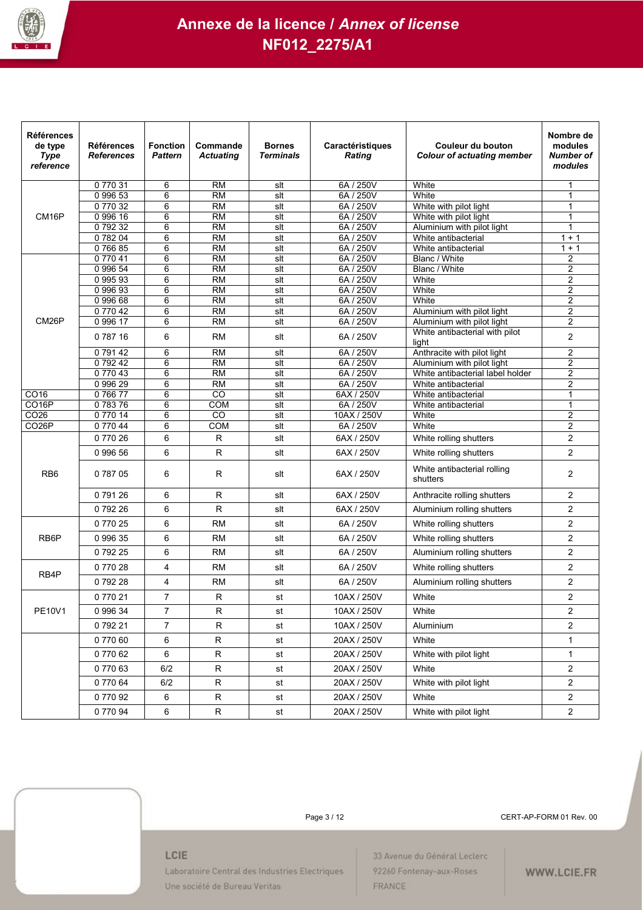

| <b>Références</b><br>de type<br><b>Type</b><br>reference | <b>Références</b><br><b>References</b> | <b>Fonction</b><br><b>Pattern</b> | Commande<br><b>Actuating</b> | <b>Bornes</b><br><b>Terminals</b> | Caractéristiques<br><b>Rating</b> | Couleur du bouton<br><b>Colour of actuating member</b> | Nombre de<br>modules<br>Number of<br>modules |
|----------------------------------------------------------|----------------------------------------|-----------------------------------|------------------------------|-----------------------------------|-----------------------------------|--------------------------------------------------------|----------------------------------------------|
|                                                          | 077031                                 | 6                                 | <b>RM</b>                    | slt                               | 6A / 250V                         | White                                                  | 1                                            |
|                                                          | 0 996 53                               | $\overline{6}$                    | $\overline{RM}$              | slt                               | 6A / 250V                         | White                                                  | 1                                            |
|                                                          | 077032                                 | 6                                 | <b>RM</b>                    | slt                               | 6A / 250V                         | White with pilot light                                 | 1                                            |
| CM <sub>16</sub> P                                       | 0 996 16                               | 6                                 | <b>RM</b>                    | slt                               | 6A / 250V                         | White with pilot light                                 | 1                                            |
|                                                          | 079232                                 | 6                                 | <b>RM</b>                    | slt                               | 6A / 250V                         | Aluminium with pilot light                             | 1                                            |
|                                                          | 078204                                 | 6                                 | <b>RM</b>                    | slt                               | 6A / 250V                         | White antibacterial                                    | $1 + 1$                                      |
|                                                          | 076685                                 | 6                                 | <b>RM</b>                    | slt                               | 6A / 250V                         | White antibacterial                                    | $1 + 1$                                      |
|                                                          | 077041                                 | 6                                 | <b>RM</b>                    | slt                               | 6A / 250V                         | Blanc / White                                          | 2                                            |
|                                                          | 0 996 54<br>099593                     | 6<br>6                            | RM<br><b>RM</b>              | slt<br>slt                        | 6A / 250V<br>6A / 250V            | Blanc / White<br>White                                 | 2<br>2                                       |
|                                                          | 0 996 93                               | 6                                 | <b>RM</b>                    | slt                               | 6A / 250V                         | White                                                  | 2                                            |
|                                                          | 0 996 68                               | 6                                 | RM                           | slt                               | 6A / 250V                         | White                                                  | $\overline{2}$                               |
|                                                          | 077042                                 | 6                                 | $\overline{RM}$              | slt                               | 6A / 250V                         | Aluminium with pilot light                             | 2                                            |
| CM <sub>26</sub> P                                       | 0 996 17                               | 6                                 | <b>RM</b>                    | slt                               | 6A / 250V                         | Aluminium with pilot light                             | 2                                            |
|                                                          | 078716                                 | 6                                 | <b>RM</b>                    | slt                               | 6A / 250V                         | White antibacterial with pilot<br>light                | $\overline{c}$                               |
|                                                          | 079142                                 | 6                                 | RM                           | slt                               | 6A / 250V                         | Anthracite with pilot light                            | $\overline{2}$                               |
|                                                          | 079242                                 | 6                                 | $\overline{RM}$              | slt                               | 6A / 250V                         | Aluminium with pilot light                             | 2                                            |
|                                                          | 077043                                 | 6                                 | <b>RM</b>                    | slt                               | 6A / 250V                         | White antibacterial label holder                       | 2                                            |
|                                                          | 0 996 29                               | 6                                 | <b>RM</b>                    | slt                               | 6A / 250V                         | White antibacterial                                    | $\overline{2}$                               |
| CO16                                                     | 076677                                 | 6                                 | CO                           | slt                               | 6AX / 250V                        | White antibacterial                                    | 1                                            |
| CO <sub>16</sub> P                                       | 078376                                 | 6                                 | <b>COM</b>                   | slt                               | 6A / 250V                         | White antibacterial                                    | 1                                            |
| CO <sub>26</sub><br>CO <sub>26</sub> P                   | 077014<br>0 770 44                     | 6<br>6                            | CO<br><b>COM</b>             | slt<br>slt                        | 10AX / 250V<br>6A / 250V          | White<br>White                                         | $\overline{2}$<br>2                          |
|                                                          |                                        | 6                                 | $\mathsf{R}$                 |                                   |                                   |                                                        | $\overline{c}$                               |
|                                                          | 0 770 26                               |                                   |                              | slt                               | 6AX / 250V                        | White rolling shutters                                 |                                              |
|                                                          | 0 996 56                               | 6                                 | R                            | slt                               | 6AX / 250V                        | White rolling shutters                                 | $\overline{2}$                               |
| RB <sub>6</sub>                                          | 078705                                 | 6                                 | R                            | slt                               | 6AX / 250V                        | White antibacterial rolling<br>shutters                | 2                                            |
|                                                          | 079126                                 | 6                                 | R                            | slt                               | 6AX / 250V                        | Anthracite rolling shutters                            | $\overline{2}$                               |
|                                                          | 079226                                 | 6                                 | R                            | slt                               | 6AX / 250V                        | Aluminium rolling shutters                             | $\overline{2}$                               |
|                                                          | 077025                                 | 6                                 | <b>RM</b>                    | slt                               | 6A / 250V                         | White rolling shutters                                 | $\overline{2}$                               |
| RB <sub>6</sub> P                                        | 0 996 35                               | 6                                 | <b>RM</b>                    | slt                               | 6A / 250V                         | White rolling shutters                                 | $\overline{2}$                               |
|                                                          | 079225                                 | 6                                 | <b>RM</b>                    | slt                               | 6A / 250V                         | Aluminium rolling shutters                             | $\overline{2}$                               |
| RB4P                                                     | 077028                                 | 4                                 | <b>RM</b>                    | slt                               | 6A / 250V                         | White rolling shutters                                 | $\overline{2}$                               |
|                                                          | 079228                                 | 4                                 | <b>RM</b>                    | slt                               | 6A / 250V                         | Aluminium rolling shutters                             | $\overline{c}$                               |
|                                                          | 077021                                 | $\overline{7}$                    | $\mathsf{R}$                 | st                                | 10AX / 250V                       | White                                                  | $\overline{2}$                               |
| PE10V1                                                   | 0 996 34                               | 7                                 | R                            | st                                | 10AX / 250V                       | White                                                  | 2                                            |
|                                                          | 079221                                 | $\overline{7}$                    | R                            | st                                | 10AX / 250V                       | Aluminium                                              | $\overline{2}$                               |
|                                                          | 077060                                 | 6                                 | $\mathsf R$                  | st                                | 20AX / 250V                       | White                                                  | 1                                            |
|                                                          | 077062                                 | 6                                 | ${\sf R}$                    | st                                | 20AX / 250V                       | White with pilot light                                 | $\mathbf{1}$                                 |
|                                                          | 077063                                 | 6/2                               | $\mathsf R$                  | st                                | 20AX / 250V                       | White                                                  | $\overline{a}$                               |
|                                                          | 077064                                 | 6/2                               | ${\sf R}$                    | st                                | 20AX / 250V                       | White with pilot light                                 | $\overline{2}$                               |
|                                                          | 077092                                 | 6                                 | ${\sf R}$                    | st                                | 20AX / 250V                       | White                                                  | $\overline{c}$                               |
|                                                          | 077094                                 | 6                                 | ${\sf R}$                    | st                                | 20AX / 250V                       | White with pilot light                                 | $\overline{2}$                               |



Page 3 / 12 CERT-AP-FORM 01 Rev. 00

#### LCIE

Laboratoire Central des Industries Electriques Une société de Bureau Veritas

33 Avenue du Général Leclerc 92260 Fontenay-aux-Roses FRANCE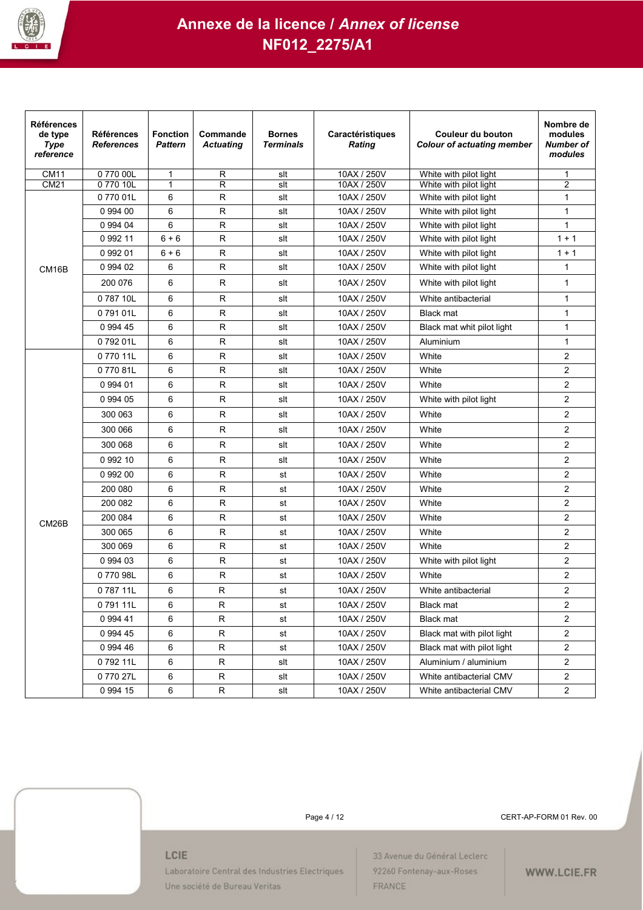

| <b>Références</b><br>de type<br><b>Type</b><br>reference | <b>Références</b><br><b>References</b> | <b>Fonction</b><br><b>Pattern</b> | Commande<br><b>Actuating</b> | <b>Bornes</b><br><b>Terminals</b> | Caractéristiques<br><b>Rating</b> | Couleur du bouton<br><b>Colour of actuating member</b> | Nombre de<br>modules<br>Number of<br>modules |
|----------------------------------------------------------|----------------------------------------|-----------------------------------|------------------------------|-----------------------------------|-----------------------------------|--------------------------------------------------------|----------------------------------------------|
| <b>CM11</b>                                              | 077000L                                | 1                                 | R                            | slt                               | 10AX / 250V                       | White with pilot light                                 | 1                                            |
| CM21                                                     | 0 770 10L                              | $\mathbf{1}$                      | R                            | slt                               | 10AX / 250V                       | White with pilot light                                 | $\overline{2}$                               |
|                                                          | 077001L                                | 6                                 | R                            | slt                               | 10AX / 250V                       | White with pilot light                                 | 1                                            |
|                                                          | 0 994 00                               | 6                                 | R                            | slt                               | 10AX / 250V                       | White with pilot light                                 | 1                                            |
|                                                          | 0 994 04<br>0 992 11                   | 6                                 | R<br>$\mathsf R$             | slt<br>slt                        | 10AX / 250V<br>10AX / 250V        | White with pilot light                                 | $\mathbf{1}$<br>$1 + 1$                      |
|                                                          |                                        | $6 + 6$                           |                              |                                   |                                   | White with pilot light                                 |                                              |
|                                                          | 0 992 01                               | $6 + 6$                           | R<br>R.                      | slt                               | 10AX / 250V                       | White with pilot light                                 | $1 + 1$                                      |
| CM16B                                                    | 0 994 02                               | 6                                 |                              | slt                               | 10AX / 250V                       | White with pilot light                                 | $\mathbf{1}$                                 |
|                                                          | 200 076                                | 6                                 | R                            | slt                               | 10AX / 250V                       | White with pilot light                                 | $\mathbf{1}$                                 |
|                                                          | 078710L                                | 6                                 | R                            | slt                               | 10AX / 250V                       | White antibacterial                                    | $\mathbf{1}$                                 |
|                                                          | 079101L                                | 6                                 | R                            | slt                               | 10AX / 250V                       | <b>Black mat</b>                                       | $\mathbf{1}$                                 |
|                                                          | 0 994 45                               | 6                                 | R                            | slt                               | 10AX / 250V                       | Black mat whit pilot light                             | $\mathbf{1}$                                 |
|                                                          | 079201L                                | 6                                 | R                            | slt                               | 10AX / 250V                       | Aluminium                                              | $\mathbf{1}$                                 |
|                                                          | 077011L                                | 6                                 | R                            | slt                               | 10AX / 250V                       | White                                                  | $\overline{2}$                               |
|                                                          | 077081L                                | 6                                 | R                            | slt                               | 10AX / 250V                       | White                                                  | $\overline{2}$                               |
|                                                          | 0 994 01                               | 6                                 | $\mathsf R$                  | slt                               | 10AX / 250V                       | White                                                  | $\overline{2}$                               |
|                                                          | 0 994 05                               | 6                                 | $\mathsf{R}$                 | slt                               | 10AX / 250V                       | White with pilot light                                 | $\overline{2}$                               |
|                                                          | 300 063                                | 6                                 | R                            | slt                               | 10AX / 250V                       | White                                                  | $\overline{2}$                               |
|                                                          | 300 066                                | 6                                 | R                            | slt                               | 10AX / 250V                       | White                                                  | $\overline{2}$                               |
|                                                          | 300 068                                | 6                                 | R                            | slt                               | 10AX / 250V                       | White                                                  | $\overline{2}$                               |
|                                                          | 0 992 10                               | 6                                 | R                            | slt                               | 10AX / 250V                       | White                                                  | $\overline{2}$                               |
|                                                          | 0 992 00                               | 6                                 | R                            | st                                | 10AX / 250V                       | White                                                  | $\overline{2}$                               |
|                                                          | 200 080                                | 6                                 | $\mathsf{R}$                 | st                                | 10AX / 250V                       | White                                                  | $\overline{2}$                               |
|                                                          | 200 082                                | 6                                 | R                            | st                                | 10AX / 250V                       | White                                                  | $\overline{2}$                               |
| CM <sub>26</sub> B                                       | 200 084                                | 6                                 | R                            | st                                | 10AX / 250V                       | White                                                  | 2                                            |
|                                                          | 300 065                                | 6                                 | R                            | st                                | 10AX / 250V                       | White                                                  | $\overline{2}$                               |
|                                                          | 300 069                                | 6                                 | R                            | st                                | 10AX / 250V                       | White                                                  | $\overline{2}$                               |
|                                                          | 0 994 03                               | 6                                 | $\mathsf{R}$                 | st                                | 10AX / 250V                       | White with pilot light                                 | $\overline{2}$                               |
|                                                          | 077098L                                | 6                                 | ${\sf R}$                    | st                                | 10AX / 250V                       | White                                                  | $\overline{2}$                               |
|                                                          | 078711L                                | 6                                 | R                            | st                                | 10AX / 250V                       | White antibacterial                                    | $\overline{2}$                               |
|                                                          | 079111L                                | 6                                 | R                            | st                                | 10AX / 250V                       | Black mat                                              | 2                                            |
|                                                          | 0 994 41                               | 6                                 | R                            | st                                | 10AX / 250V                       | <b>Black mat</b>                                       | $\overline{2}$                               |
|                                                          | 0 994 45                               | 6                                 | ${\sf R}$                    | st                                | 10AX / 250V                       | Black mat with pilot light                             | $\overline{2}$                               |
|                                                          | 0 994 46                               | 6                                 | R                            | st                                | 10AX / 250V                       | Black mat with pilot light                             | $\overline{2}$                               |
|                                                          | 079211L                                | 6                                 | R                            | slt                               | 10AX / 250V                       | Aluminium / aluminium                                  | $\overline{2}$                               |
|                                                          | 077027L                                | 6                                 | ${\sf R}$                    | slt                               | 10AX / 250V                       | White antibacterial CMV                                | $\overline{2}$                               |
|                                                          | 0 994 15                               | 6                                 | R                            | slt                               | 10AX / 250V                       | White antibacterial CMV                                | $\overline{2}$                               |

Page 4 / 12 CERT-AP-FORM 01 Rev. 00

#### LCIE

Laboratoire Central des Industries Electriques Une société de Bureau Veritas

33 Avenue du Général Leclerc 92260 Fontenay-aux-Roses FRANCE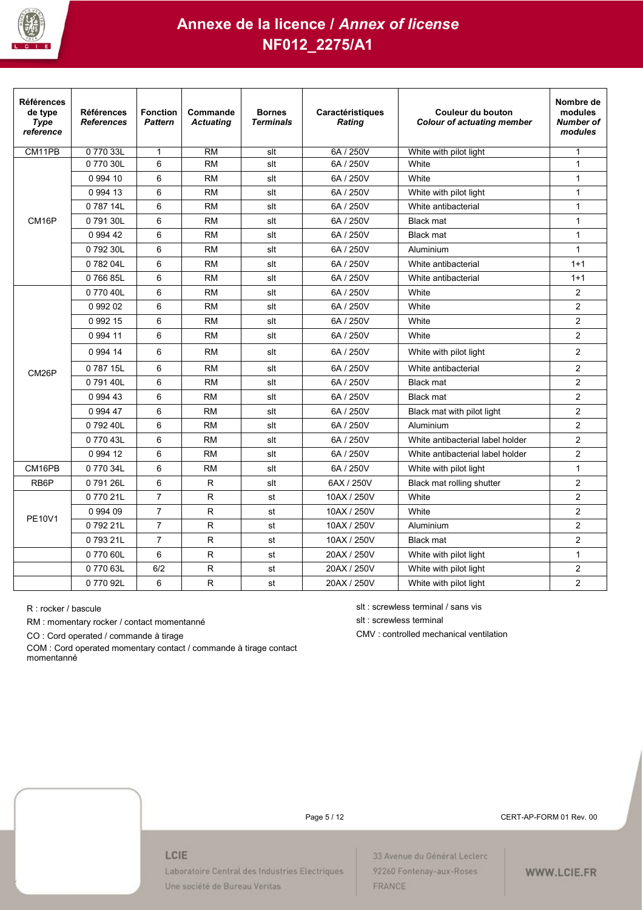

| <b>Références</b><br>de type<br><b>Type</b><br>reference | <b>Références</b><br><b>References</b> | <b>Fonction</b><br><b>Pattern</b> | Commande<br><b>Actuating</b> | <b>Bornes</b><br><b>Terminals</b> | Caractéristiques<br>Rating | Couleur du bouton<br><b>Colour of actuating member</b> | Nombre de<br>modules<br>Number of<br>modules |
|----------------------------------------------------------|----------------------------------------|-----------------------------------|------------------------------|-----------------------------------|----------------------------|--------------------------------------------------------|----------------------------------------------|
| CM11PB                                                   | 0 770 33L                              | $\mathbf{1}$                      | <b>RM</b>                    | slt                               | 6A / 250V                  | White with pilot light                                 | $\mathbf{1}$                                 |
|                                                          | 0 770 30L                              | 6                                 | <b>RM</b>                    | slt                               | 6A / 250V                  | White                                                  | $\mathbf{1}$                                 |
|                                                          | 0 994 10                               | 6                                 | <b>RM</b>                    | slt                               | 6A / 250V                  | White                                                  | $\mathbf{1}$                                 |
|                                                          | 0 9 9 4 1 3                            | 6                                 | <b>RM</b>                    | slt                               | 6A / 250V                  | White with pilot light                                 | $\mathbf{1}$                                 |
|                                                          | 0 787 14L                              | 6                                 | <b>RM</b>                    | slt                               | 6A / 250V                  | White antibacterial                                    | $\mathbf{1}$                                 |
| CM16P                                                    | 079130L                                | 6                                 | <b>RM</b>                    | slt                               | 6A / 250V                  | <b>Black mat</b>                                       | $\mathbf{1}$                                 |
|                                                          | 0 994 42                               | 6                                 | <b>RM</b>                    | slt                               | 6A / 250V                  | <b>Black mat</b>                                       | $\mathbf{1}$                                 |
|                                                          | 079230L                                | 6                                 | <b>RM</b>                    | slt                               | 6A / 250V                  | Aluminium                                              | $\mathbf{1}$                                 |
|                                                          | 078204L                                | 6                                 | <b>RM</b>                    | slt                               | 6A / 250V                  | White antibacterial                                    | $1 + 1$                                      |
|                                                          | 076685L                                | 6                                 | <b>RM</b>                    | slt                               | 6A / 250V                  | White antibacterial                                    | $1 + 1$                                      |
|                                                          | 0 770 40L                              | 6                                 | <b>RM</b>                    | slt                               | 6A / 250V                  | White                                                  | $\overline{2}$                               |
|                                                          | 0 992 02                               | 6                                 | <b>RM</b>                    | slt                               | 6A / 250V                  | White                                                  | $\overline{2}$                               |
|                                                          | 0 9 9 2 1 5                            | 6                                 | <b>RM</b>                    | slt                               | 6A / 250V                  | White                                                  | $\overline{2}$                               |
|                                                          | 0 9 9 4 11                             | 6                                 | <b>RM</b>                    | slt                               | 6A / 250V                  | White                                                  | $\overline{2}$                               |
|                                                          | 0 9 9 4 14                             | 6                                 | <b>RM</b>                    | slt                               | 6A / 250V                  | White with pilot light                                 | $\overline{2}$                               |
| CM <sub>26</sub> P                                       | 0 787 15L                              | 6                                 | <b>RM</b>                    | slt                               | 6A / 250V                  | White antibacterial                                    | $\overline{2}$                               |
|                                                          | 0 791 40L                              | 6                                 | <b>RM</b>                    | slt                               | 6A / 250V                  | <b>Black mat</b>                                       | $\overline{2}$                               |
|                                                          | 0 9 9 4 4 3                            | 6                                 | <b>RM</b>                    | slt                               | 6A / 250V                  | <b>Black mat</b>                                       | $\overline{2}$                               |
|                                                          | 0 994 47                               | 6                                 | <b>RM</b>                    | slt                               | 6A / 250V                  | Black mat with pilot light                             | $\overline{2}$                               |
|                                                          | 079240L                                | 6                                 | <b>RM</b>                    | slt                               | 6A / 250V                  | Aluminium                                              | $\overline{2}$                               |
|                                                          | 0 770 43L                              | 6                                 | <b>RM</b>                    | slt                               | 6A / 250V                  | White antibacterial label holder                       | $\overline{2}$                               |
|                                                          | 0 994 12                               | 6                                 | <b>RM</b>                    | slt                               | 6A / 250V                  | White antibacterial label holder                       | $\overline{2}$                               |
| CM16PB                                                   | 077034L                                | 6                                 | <b>RM</b>                    | slt                               | 6A / 250V                  | White with pilot light                                 | $\mathbf{1}$                                 |
| RB <sub>6</sub> P                                        | 079126L                                | 6                                 | R                            | slt                               | 6AX / 250V                 | Black mat rolling shutter                              | $\overline{2}$                               |
|                                                          | 077021L                                | $\overline{7}$                    | R                            | st                                | 10AX / 250V                | White                                                  | $\overline{2}$                               |
|                                                          | 0 994 09                               | $\overline{7}$                    | R                            | st                                | 10AX / 250V                | White                                                  | $\overline{2}$                               |
| <b>PE10V1</b>                                            | 079221L                                | $\overline{7}$                    | R                            | st                                | 10AX / 250V                | Aluminium                                              | $\overline{2}$                               |
|                                                          | 079321L                                | $\overline{7}$                    | ${\sf R}$                    | st                                | 10AX / 250V                | <b>Black mat</b>                                       | $\overline{c}$                               |
|                                                          | 0 770 60L                              | 6                                 | ${\sf R}$                    | st                                | 20AX / 250V                | White with pilot light                                 | $\mathbf{1}$                                 |
|                                                          | 0 770 63L                              | 6/2                               | R                            | st                                | 20AX / 250V                | White with pilot light                                 | $\overline{2}$                               |
|                                                          | 077092L                                | 6                                 | R                            | st                                | 20AX / 250V                | White with pilot light                                 | $\overline{2}$                               |

RM : momentary rocker / contact momentanné slt : screwless terminal

CO : Cord operated / commande à tirage controlled mechanical ventilation

COM : Cord operated momentary contact / commande à tirage contact momentanné

R : rocker / bascule slt : screwless terminal / sans vis

Page 5 / 12 CERT-AP-FORM 01 Rev. 00

#### LCIE

Laboratoire Central des Industries Electriques Une société de Bureau Veritas

33 Avenue du Général Leclerc 92260 Fontenay-aux-Roses FRANCE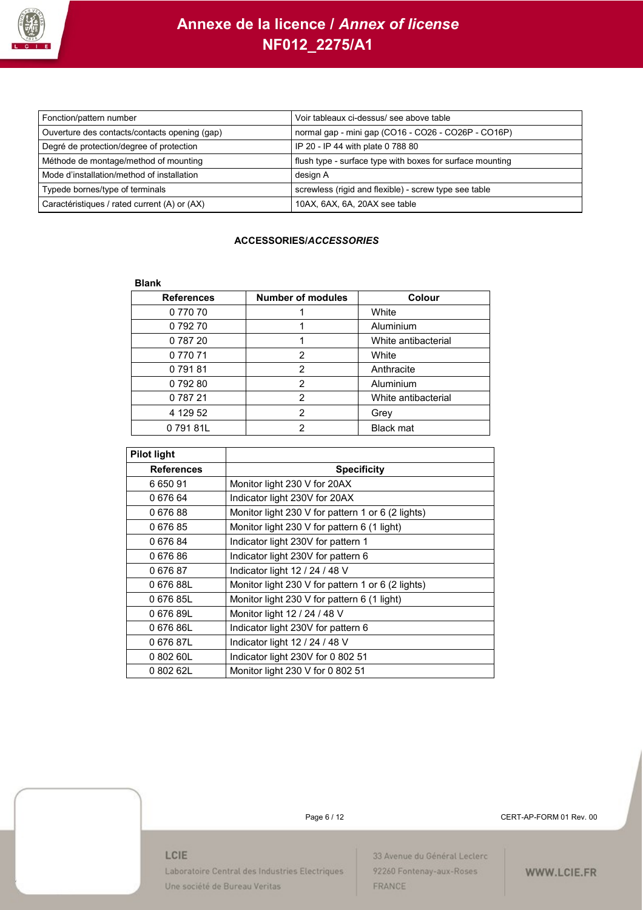

| Fonction/pattern number                       | Voir tableaux ci-dessus/ see above table                  |
|-----------------------------------------------|-----------------------------------------------------------|
| Ouverture des contacts/contacts opening (gap) | normal gap - mini gap (CO16 - CO26 - CO26P - CO16P)       |
| Degré de protection/degree of protection      | IP 20 - IP 44 with plate 0 788 80                         |
| Méthode de montage/method of mounting         | flush type - surface type with boxes for surface mounting |
| Mode d'installation/method of installation    | design A                                                  |
| Typede bornes/type of terminals               | screwless (rigid and flexible) - screw type see table     |
| Caractéristiques / rated current (A) or (AX)  | 10AX, 6AX, 6A, 20AX see table                             |

### **ACCESSORIES/***ACCESSORIES*

#### **Blank**

| <b>References</b> | <b>Number of modules</b> | <b>Colour</b>       |
|-------------------|--------------------------|---------------------|
| 077070            |                          | White               |
| 079270            |                          | Aluminium           |
| 0 787 20          |                          | White antibacterial |
| 0 770 71          | $\mathcal{P}$            | White               |
| 079181            | $\mathcal{P}$            | Anthracite          |
| 079280            | $\mathcal{P}$            | Aluminium           |
| 0 787 21          | $\mathcal{P}$            | White antibacterial |
| 4 129 52          | $\mathcal{P}$            | Grey                |
| 079181L           | $\mathcal{P}$            | <b>Black mat</b>    |

| <b>Pilot light</b> |                                                   |
|--------------------|---------------------------------------------------|
| <b>References</b>  | <b>Specificity</b>                                |
| 665091             | Monitor light 230 V for 20AX                      |
| 067664             | Indicator light 230V for 20AX                     |
| 067688             | Monitor light 230 V for pattern 1 or 6 (2 lights) |
| 067685             | Monitor light 230 V for pattern 6 (1 light)       |
| 067684             | Indicator light 230V for pattern 1                |
| 067686             | Indicator light 230V for pattern 6                |
| 067687             | Indicator light 12 / 24 / 48 V                    |
| 067688L            | Monitor light 230 V for pattern 1 or 6 (2 lights) |
| 067685L            | Monitor light 230 V for pattern 6 (1 light)       |
| 067689L            | Monitor light 12 / 24 / 48 V                      |
| 067686L            | Indicator light 230V for pattern 6                |
| 067687L            | Indicator light 12 / 24 / 48 V                    |
| 0 802 60L          | Indicator light 230V for 0 802 51                 |
| 0 802 62L          | Monitor light 230 V for 0 802 51                  |

Page 6 / 12 CERT-AP-FORM 01 Rev. 00

### LCIE

Laboratoire Central des Industries Electriques Une société de Bureau Veritas

33 Avenue du Général Leclerc 92260 Fontenay-aux-Roses FRANCE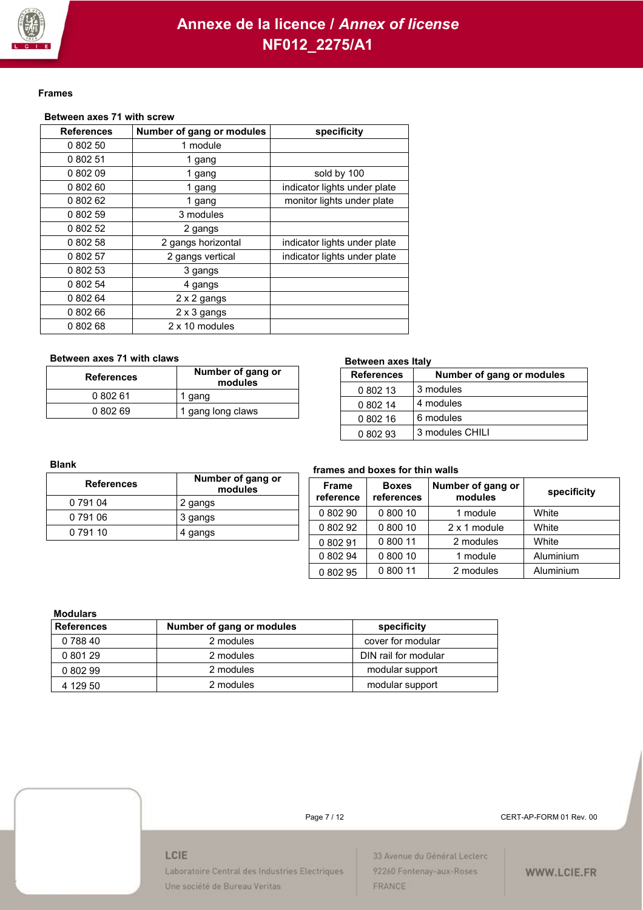

#### **Frames**

### **Between axes 71 with screw**

| <b>References</b> | Number of gang or modules | specificity                  |
|-------------------|---------------------------|------------------------------|
| 0 802 50          | 1 module                  |                              |
| 0 802 51          | 1 gang                    |                              |
| 080209            | 1 gang                    | sold by 100                  |
| 080260            | 1 gang                    | indicator lights under plate |
| 0 802 62          | 1 gang                    | monitor lights under plate   |
| 080259            | 3 modules                 |                              |
| 0 802 52          | 2 gangs                   |                              |
| 0 802 58          | 2 gangs horizontal        | indicator lights under plate |
| 0 802 57          | 2 gangs vertical          | indicator lights under plate |
| 0 802 53          | 3 gangs                   |                              |
| 0 802 54          | 4 gangs                   |                              |
| 0 802 64          | 2 x 2 gangs               |                              |
| 080266            | 2 x 3 gangs               |                              |
| 0 802 68          | 2 x 10 modules            |                              |

#### **Between axes 71 with claws**

| <b>References</b> | Number of gang or<br>modules |  |
|-------------------|------------------------------|--|
| 0 802 61          | 1 gang                       |  |
| 0 802 69          | 1 gang long claws            |  |

#### **Between axes Italy**

| <b>References</b> | Number of gang or modules |
|-------------------|---------------------------|
| 0 802 13          | 3 modules                 |
| 0 802 14          | 4 modules                 |
| 0 802 16          | 6 modules                 |
| 0 802 93          | 3 modules CHILI           |

#### **Blank**

| <b>References</b> | Number of gang or<br>modules |
|-------------------|------------------------------|
| 0 791 04          | 2 gangs                      |
| 0 791 06          | 3 gangs                      |
| 0 791 10          | 4 gangs                      |

#### **frames and boxes for thin walls**

| <b>Frame</b><br>reference | <b>Boxes</b><br>references | Number of gang or<br>modules | specificity |
|---------------------------|----------------------------|------------------------------|-------------|
| 0 802 90                  | 0 800 10                   | 1 module                     | White       |
| 0 802 92                  | 0 800 10                   | 2 x 1 module                 | White       |
| 0 802 91                  | 0 800 11                   | 2 modules                    | White       |
| 0 802 94                  | 0 800 10                   | 1 module                     | Aluminium   |
| 0 802 95                  | 0 800 11                   | 2 modules                    | Aluminium   |

#### **Modulars**

| muuului J         |                           |                      |  |  |  |
|-------------------|---------------------------|----------------------|--|--|--|
| <b>References</b> | Number of gang or modules | specificity          |  |  |  |
| 0 788 40          | 2 modules                 | cover for modular    |  |  |  |
| 0 801 29          | 2 modules                 | DIN rail for modular |  |  |  |
| 0 802 99          | 2 modules                 | modular support      |  |  |  |
| 4 129 50          | 2 modules                 | modular support      |  |  |  |



Page 7 / 12 CERT-AP-FORM 01 Rev. 00

#### LCIE

Laboratoire Central des Industries Electriques Une société de Bureau Veritas

33 Avenue du Général Leclerc 92260 Fontenay-aux-Roses FRANCE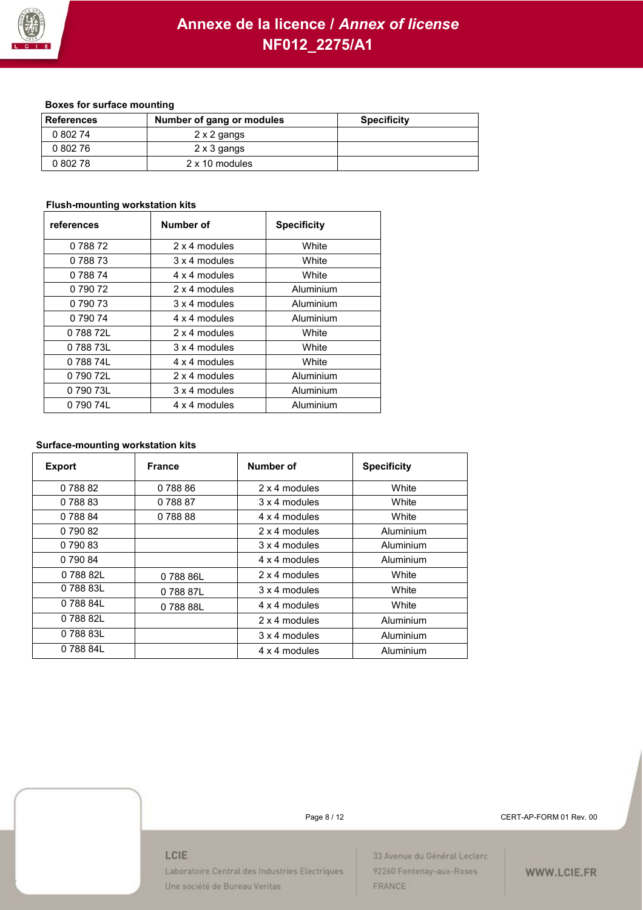

### **Boxes for surface mounting**

| <b>References</b> | Number of gang or modules | <b>Specificity</b> |
|-------------------|---------------------------|--------------------|
| 0 802 74          | 2 x 2 gangs               |                    |
| 0 802 76          | 2 x 3 gangs               |                    |
| 0 802 78          | 2 x 10 modules            |                    |

### **Flush-mounting workstation kits**

| references | Number of     | <b>Specificity</b> |
|------------|---------------|--------------------|
| 0 788 72   | 2 x 4 modules | White              |
| 0 788 73   | 3 x 4 modules | White              |
| 0 788 74   | 4 x 4 modules | White              |
| 0 790 72   | 2 x 4 modules | Aluminium          |
| 0 790 73   | 3 x 4 modules | Aluminium          |
| 0 790 74   | 4 x 4 modules | Aluminium          |
| 078872L    | 2 x 4 modules | White              |
| 078873L    | 3 x 4 modules | White              |
| 078874L    | 4 x 4 modules | White              |
| 0 790 72L  | 2 x 4 modules | Aluminium          |
| 0 790 73L  | 3 x 4 modules | Aluminium          |
| 0 790 74L  | 4 x 4 modules | Aluminium          |

#### **Surface-mounting workstation kits**

| <b>Export</b> | <b>France</b> | Number of     | <b>Specificity</b> |
|---------------|---------------|---------------|--------------------|
| 078882        | 078886        | 2 x 4 modules | White              |
| 078883        | 078887        | 3 x 4 modules | White              |
| 078884        | 078888        | 4 x 4 modules | White              |
| 0 790 82      |               | 2 x 4 modules | Aluminium          |
| 0 790 83      |               | 3 x 4 modules | Aluminium          |
| 0 790 84      |               | 4 x 4 modules | Aluminium          |
| 078882L       | 078886L       | 2 x 4 modules | White              |
| 078883L       | 078887L       | 3 x 4 modules | White              |
| 0 788 84L     | 078888L       | 4 x 4 modules | White              |
| 078882L       |               | 2 x 4 modules | Aluminium          |
| 078883L       |               | 3 x 4 modules | Aluminium          |
| 078884L       |               | 4 x 4 modules | Aluminium          |

Page 8 / 12 CERT-AP-FORM 01 Rev. 00

#### LCIE

Laboratoire Central des Industries Electriques Une société de Bureau Veritas

33 Avenue du Général Leclerc 92260 Fontenay-aux-Roses FRANCE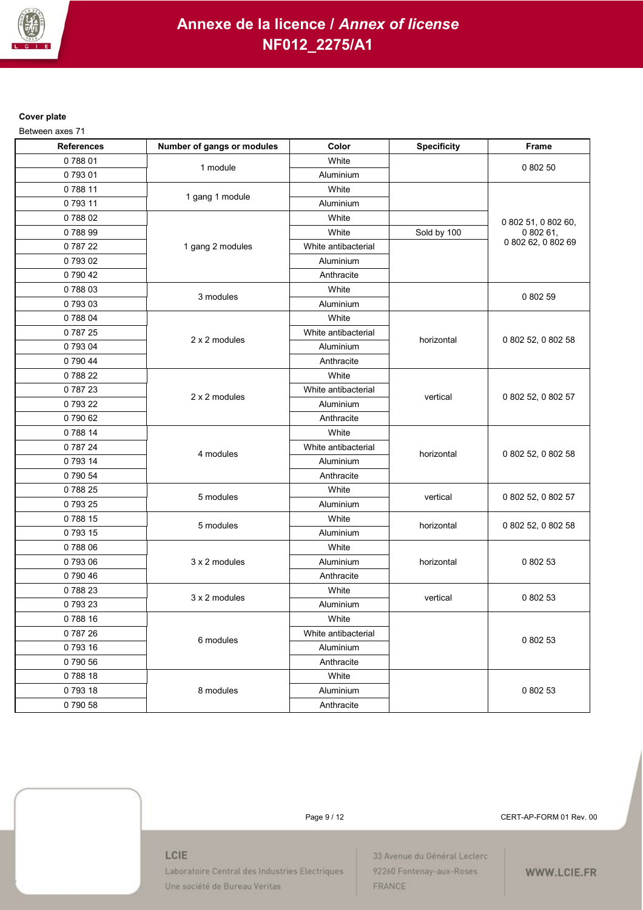

### **Cover plate**

Between axes 71

| <b>References</b> | Number of gangs or modules | Color               | <b>Specificity</b> | Frame               |
|-------------------|----------------------------|---------------------|--------------------|---------------------|
| 078801            | 1 module                   | White               |                    |                     |
| 079301            |                            | Aluminium           |                    | 0 802 50            |
| 078811            |                            | White               |                    |                     |
| 079311            | 1 gang 1 module            | Aluminium           |                    |                     |
| 078802            |                            | White               |                    | 0 802 51, 0 802 60, |
| 078899            |                            | White               | Sold by 100        | 080261,             |
| 078722            | 1 gang 2 modules           | White antibacterial |                    | 0 802 62, 0 802 69  |
| 079302            |                            | Aluminium           |                    |                     |
| 079042            |                            | Anthracite          |                    |                     |
| 078803            |                            | White               |                    |                     |
| 079303            | 3 modules                  | Aluminium           |                    | 0 802 59            |
| 078804            |                            | White               |                    |                     |
| 078725            |                            | White antibacterial |                    |                     |
| 079304            | 2 x 2 modules              | Aluminium           | horizontal         | 0 802 52, 0 802 58  |
| 0 790 44          |                            | Anthracite          |                    |                     |
| 078822            |                            | White               |                    |                     |
| 078723            | 2 x 2 modules              | White antibacterial | vertical           | 0 802 52, 0 802 57  |
| 079322            |                            | Aluminium           |                    |                     |
| 079062            |                            | Anthracite          |                    |                     |
| 078814            |                            | White               |                    |                     |
| 0 787 24          |                            | White antibacterial |                    |                     |
| 0 793 14          | 4 modules                  | Aluminium           | horizontal         | 0 802 52, 0 802 58  |
| 0 790 54          |                            | Anthracite          |                    |                     |
| 078825            |                            | White               |                    |                     |
| 079325            | 5 modules                  | Aluminium           | vertical           | 0 802 52, 0 802 57  |
| 078815            | 5 modules                  | White               | horizontal         |                     |
| 079315            |                            | Aluminium           |                    | 0 802 52, 0 802 58  |
| 078806            |                            | White               |                    |                     |
| 079306            | 3 x 2 modules              | Aluminium           | horizontal         | 0 802 53            |
| 0 790 46          |                            | Anthracite          |                    |                     |
| 078823            | 3 x 2 modules              | White               |                    |                     |
| 079323            |                            | Aluminium           | vertical           | 0 802 53            |
| 078816            |                            | White               |                    |                     |
| 078726            |                            | White antibacterial |                    |                     |
| 079316            | 6 modules                  | Aluminium           |                    | 0 802 53            |
| 0 790 56          |                            | Anthracite          |                    |                     |
| 078818            |                            | White               |                    |                     |
| 079318            | 8 modules                  | Aluminium           |                    | 0 802 53            |
| 079058            |                            | Anthracite          |                    |                     |

Page 9 / 12 CERT-AP-FORM 01 Rev. 00

#### LCIE

Laboratoire Central des Industries Electriques Une société de Bureau Veritas

33 Avenue du Général Leclerc 92260 Fontenay-aux-Roses FRANCE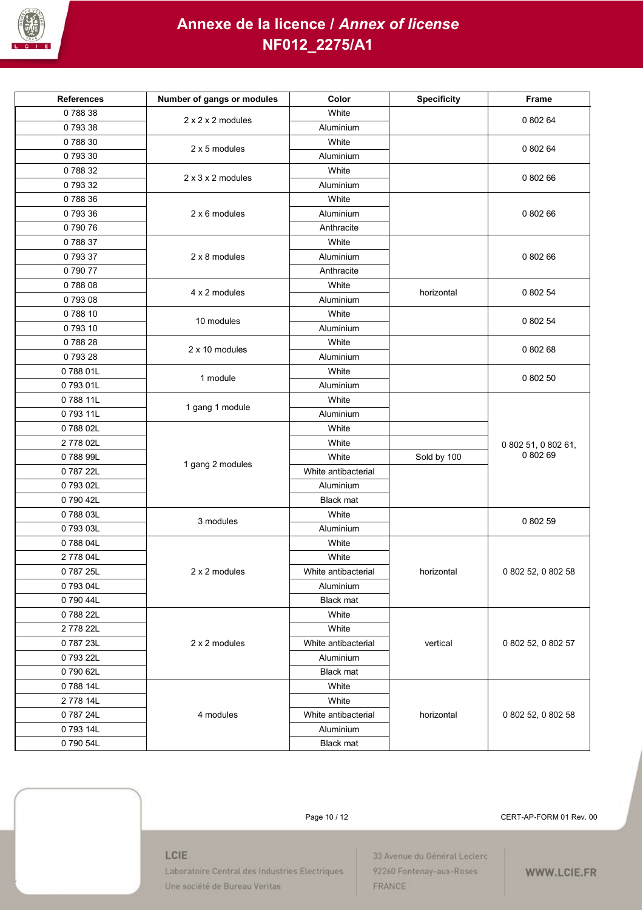

| <b>References</b> | Number of gangs or modules    | Color               | <b>Specificity</b> | Frame               |
|-------------------|-------------------------------|---------------------|--------------------|---------------------|
| 078838            | 2 x 2 x 2 modules             | White               |                    |                     |
| 079338            |                               | Aluminium           |                    | 0 802 64            |
| 078830            | 2 x 5 modules                 | White               |                    | 0 802 64            |
| 079330            |                               | Aluminium           |                    |                     |
| 078832            |                               | White               |                    | 0 802 66            |
| 0 793 32          | $2 \times 3 \times 2$ modules | Aluminium           |                    |                     |
| 078836            |                               | White               |                    |                     |
| 079336            | 2 x 6 modules                 | Aluminium           |                    | 0 802 66            |
| 079076            |                               | Anthracite          |                    |                     |
| 078837            |                               | White               |                    |                     |
| 079337            | 2 x 8 modules                 | Aluminium           |                    | 0 802 66            |
| 079077            |                               | Anthracite          |                    |                     |
| 078808            |                               | White               |                    |                     |
| 079308            | 4 x 2 modules                 | Aluminium           | horizontal         | 0 802 54            |
| 078810            |                               | White               |                    |                     |
| 079310            | 10 modules                    | Aluminium           |                    | 0 802 54            |
| 078828            |                               | White               |                    |                     |
| 079328            | 2 x 10 modules                | Aluminium           |                    | 0 802 68            |
| 078801L           |                               | White               |                    |                     |
| 079301L           | 1 module                      | Aluminium           |                    | 0 802 50            |
| 078811L           |                               | White               |                    |                     |
| 079311L           | 1 gang 1 module               | Aluminium           |                    |                     |
| 078802L           |                               | White               |                    |                     |
| 2778 02L          |                               | White               |                    | 0 802 51, 0 802 61, |
| 078899L           |                               | White               | Sold by 100        | 0 802 69            |
| 078722L           | 1 gang 2 modules              | White antibacterial |                    |                     |
| 079302L           |                               | Aluminium           |                    |                     |
| 079042L           |                               | <b>Black mat</b>    |                    |                     |
| 078803L           |                               | White               |                    |                     |
| 079303L           | 3 modules                     | Aluminium           |                    | 0 802 59            |
| 078804L           |                               | White               |                    |                     |
| 277804L           |                               | White               |                    |                     |
| 078725L           | 2 x 2 modules                 | White antibacterial | horizontal         | 0 802 52, 0 802 58  |
| 0 793 04L         |                               | Aluminium           |                    |                     |
| 0 790 44L         |                               | <b>Black mat</b>    |                    |                     |
| 078822L           |                               | White               |                    |                     |
| 2778 22L          |                               | White               |                    |                     |
| 078723L           | 2 x 2 modules                 | White antibacterial | vertical           | 0 802 52, 0 802 57  |
| 079322L           |                               | Aluminium           |                    |                     |
| 079062L           |                               | Black mat           |                    |                     |
| 078814L           |                               | White               |                    |                     |
| 2 778 14L         |                               | White               |                    |                     |
| 078724L           | 4 modules                     | White antibacterial | horizontal         | 0 802 52, 0 802 58  |
| 079314L           |                               | Aluminium           |                    |                     |
| 079054L           |                               | <b>Black mat</b>    |                    |                     |
|                   |                               |                     |                    |                     |



Page 10 / 12 CERT-AP-FORM 01 Rev. 00

#### LCIE

Laboratoire Central des Industries Electriques Une société de Bureau Veritas

33 Avenue du Général Leclerc 92260 Fontenay-aux-Roses FRANCE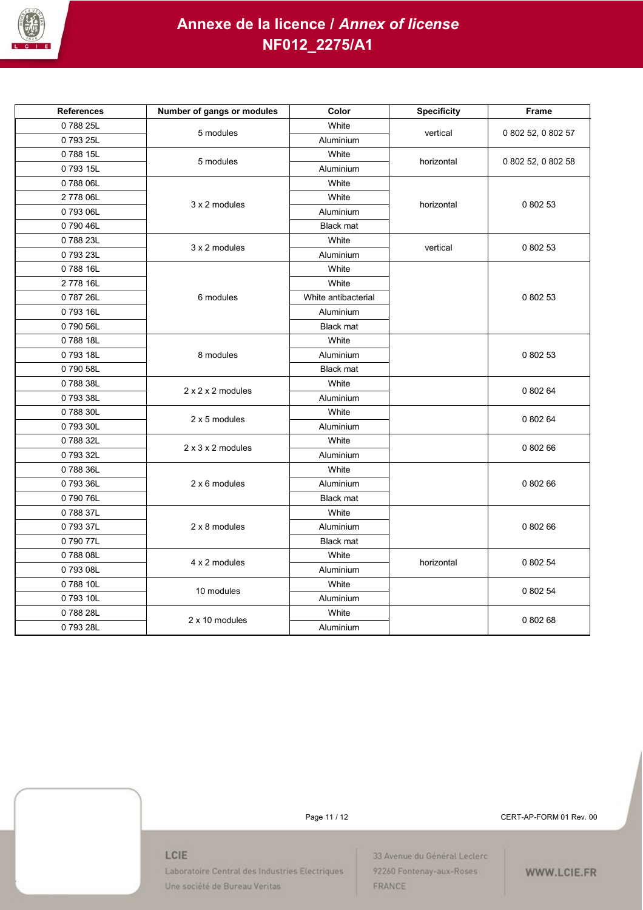

| <b>References</b> | Number of gangs or modules    | Color               | <b>Specificity</b> | Frame              |
|-------------------|-------------------------------|---------------------|--------------------|--------------------|
| 078825L           | 5 modules                     | White               | vertical           |                    |
| 079325L           |                               | Aluminium           |                    | 0 802 52, 0 802 57 |
| 078815L           | 5 modules                     | White               | horizontal         |                    |
| 079315L           |                               | Aluminium           |                    | 0 802 52, 0 802 58 |
| 078806L           |                               | White               |                    |                    |
| 2778 06L          | 3 x 2 modules                 | White               | horizontal         | 0 802 53           |
| 079306L           |                               | Aluminium           |                    |                    |
| 079046L           |                               | <b>Black mat</b>    |                    |                    |
| 078823L           | 3 x 2 modules                 | White               | vertical           | 0 802 53           |
| 079323L           |                               | Aluminium           |                    |                    |
| 078816L           |                               | White               |                    |                    |
| 2778 16L          |                               | White               |                    |                    |
| 078726L           | 6 modules                     | White antibacterial |                    | 0 802 53           |
| 079316L           |                               | Aluminium           |                    |                    |
| 079056L           |                               | <b>Black mat</b>    |                    |                    |
| 078818L           |                               | White               |                    |                    |
| 079318L           | 8 modules                     | Aluminium           |                    | 0 802 53           |
| 079058L           |                               | <b>Black mat</b>    |                    |                    |
| 078838L           | $2 \times 2 \times 2$ modules | White               |                    | 0 802 64           |
| 079338L           |                               | Aluminium           |                    |                    |
| 078830L           | 2 x 5 modules                 | White               |                    | 0 802 64           |
| 0 793 30L         |                               | Aluminium           |                    |                    |
| 078832L           | $2 \times 3 \times 2$ modules | White               |                    | 0 802 66           |
| 079332L           |                               | Aluminium           |                    |                    |
| 078836L           |                               | White               |                    |                    |
| 079336L           | 2 x 6 modules                 | Aluminium           |                    | 0 802 66           |
| 079076L           |                               | <b>Black mat</b>    |                    |                    |
| 078837L           |                               | White               |                    |                    |
| 079337L           | 2 x 8 modules                 | Aluminium           |                    | 0 802 66           |
| 079077L           |                               | <b>Black mat</b>    |                    |                    |
| 078808L           | 4 x 2 modules                 | White               | horizontal         | 0 802 54           |
| 079308L           |                               | Aluminium           |                    |                    |
| 078810L           | 10 modules                    | White               |                    | 0 802 54           |
| 079310L           |                               | Aluminium           |                    |                    |
| 078828L           | 2 x 10 modules                | White               |                    | 0 802 68           |
| 079328L           |                               | Aluminium           |                    |                    |

Page 11 / 12 CERT-AP-FORM 01 Rev. 00

#### LCIE

Laboratoire Central des Industries Electriques Une société de Bureau Veritas

33 Avenue du Général Leclerc 92260 Fontenay-aux-Roses FRANCE